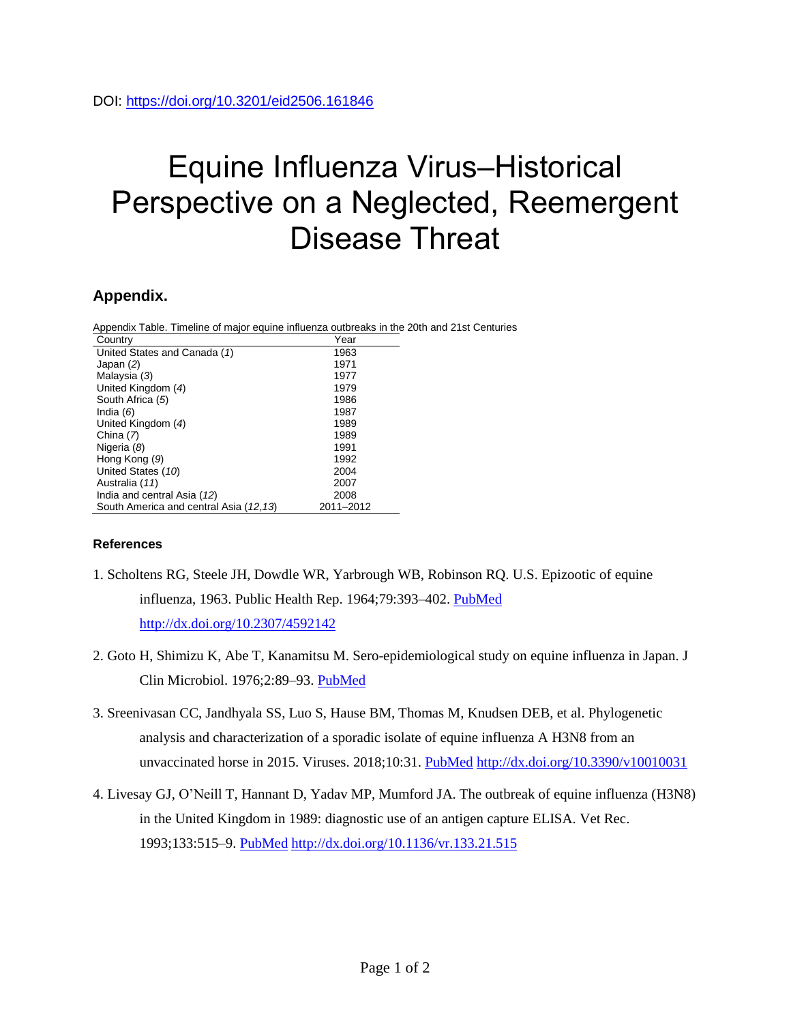## Equine Influenza Virus–Historical Perspective on a Neglected, Reemergent Disease Threat

## **Appendix.**

Appendix Table. Timeline of major equine influenza outbreaks in the 20th and 21st Centuries

| Country                                | Year      |
|----------------------------------------|-----------|
| United States and Canada (1)           | 1963      |
| Japan (2)                              | 1971      |
| Malaysia (3)                           | 1977      |
| United Kingdom (4)                     | 1979      |
| South Africa (5)                       | 1986      |
| India $(6)$                            | 1987      |
| United Kingdom (4)                     | 1989      |
| China (7)                              | 1989      |
| Nigeria (8)                            | 1991      |
| Hong Kong (9)                          | 1992      |
| United States (10)                     | 2004      |
| Australia (11)                         | 2007      |
| India and central Asia (12)            | 2008      |
| South America and central Asia (12,13) | 2011-2012 |

## **References**

- 1. Scholtens RG, Steele JH, Dowdle WR, Yarbrough WB, Robinson RQ. U.S. Epizootic of equine influenza, 1963. Public Health Rep. 1964;79:393–402. [PubMed](https://www.ncbi.nlm.nih.gov/entrez/query.fcgi?cmd=Retrieve&db=PubMed&list_uids=14153655&dopt=Abstract) <http://dx.doi.org/10.2307/4592142>
- 2. Goto H, Shimizu K, Abe T, Kanamitsu M. Sero-epidemiological study on equine influenza in Japan. J Clin Microbiol. 1976;2:89–93. [PubMed](https://www.ncbi.nlm.nih.gov/entrez/query.fcgi?cmd=Retrieve&db=PubMed&list_uids=987067&dopt=Abstract)
- 3. Sreenivasan CC, Jandhyala SS, Luo S, Hause BM, Thomas M, Knudsen DEB, et al. Phylogenetic analysis and characterization of a sporadic isolate of equine influenza A H3N8 from an unvaccinated horse in 2015. Viruses. 2018;10:31. [PubMed](https://www.ncbi.nlm.nih.gov/entrez/query.fcgi?cmd=Retrieve&db=PubMed&list_uids=29324680&dopt=Abstract) <http://dx.doi.org/10.3390/v10010031>
- 4. Livesay GJ, O'Neill T, Hannant D, Yadav MP, Mumford JA. The outbreak of equine influenza (H3N8) in the United Kingdom in 1989: diagnostic use of an antigen capture ELISA. Vet Rec. 1993;133:515–9. [PubMed](https://www.ncbi.nlm.nih.gov/entrez/query.fcgi?cmd=Retrieve&db=PubMed&list_uids=8310627&dopt=Abstract) <http://dx.doi.org/10.1136/vr.133.21.515>